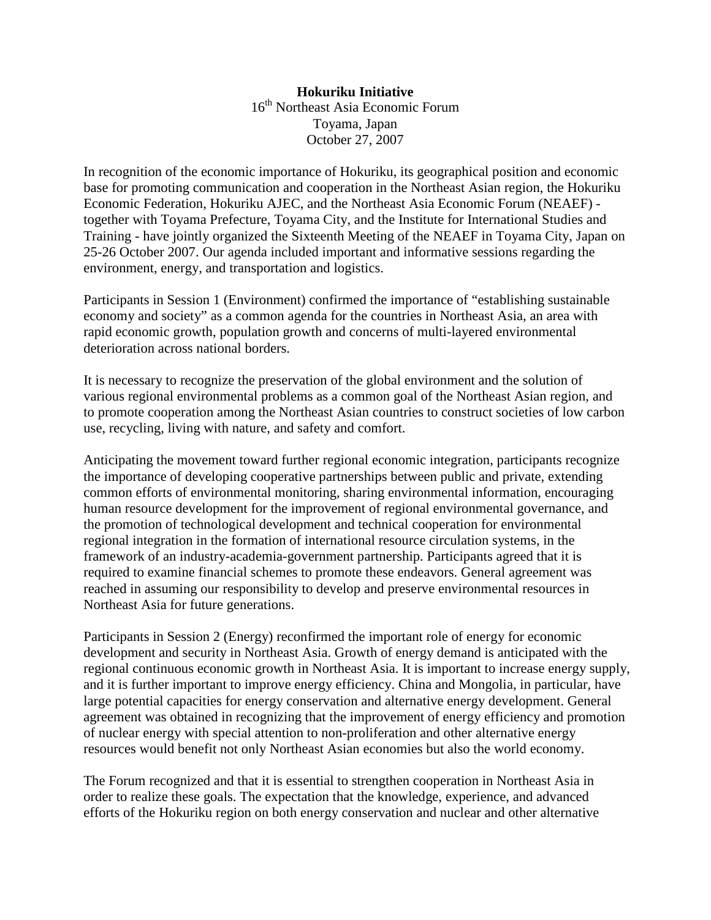## **Hokuriku Initiative**  16th Northeast Asia Economic Forum Toyama, Japan October 27, 2007

In recognition of the economic importance of Hokuriku, its geographical position and economic base for promoting communication and cooperation in the Northeast Asian region, the Hokuriku Economic Federation, Hokuriku AJEC, and the Northeast Asia Economic Forum (NEAEF) together with Toyama Prefecture, Toyama City, and the Institute for International Studies and Training - have jointly organized the Sixteenth Meeting of the NEAEF in Toyama City, Japan on 25-26 October 2007. Our agenda included important and informative sessions regarding the environment, energy, and transportation and logistics.

Participants in Session 1 (Environment) confirmed the importance of "establishing sustainable economy and society" as a common agenda for the countries in Northeast Asia, an area with rapid economic growth, population growth and concerns of multi-layered environmental deterioration across national borders.

It is necessary to recognize the preservation of the global environment and the solution of various regional environmental problems as a common goal of the Northeast Asian region, and to promote cooperation among the Northeast Asian countries to construct societies of low carbon use, recycling, living with nature, and safety and comfort.

Anticipating the movement toward further regional economic integration, participants recognize the importance of developing cooperative partnerships between public and private, extending common efforts of environmental monitoring, sharing environmental information, encouraging human resource development for the improvement of regional environmental governance, and the promotion of technological development and technical cooperation for environmental regional integration in the formation of international resource circulation systems, in the framework of an industry-academia-government partnership. Participants agreed that it is required to examine financial schemes to promote these endeavors. General agreement was reached in assuming our responsibility to develop and preserve environmental resources in Northeast Asia for future generations.

Participants in Session 2 (Energy) reconfirmed the important role of energy for economic development and security in Northeast Asia. Growth of energy demand is anticipated with the regional continuous economic growth in Northeast Asia. It is important to increase energy supply, and it is further important to improve energy efficiency. China and Mongolia, in particular, have large potential capacities for energy conservation and alternative energy development. General agreement was obtained in recognizing that the improvement of energy efficiency and promotion of nuclear energy with special attention to non-proliferation and other alternative energy resources would benefit not only Northeast Asian economies but also the world economy.

The Forum recognized and that it is essential to strengthen cooperation in Northeast Asia in order to realize these goals. The expectation that the knowledge, experience, and advanced efforts of the Hokuriku region on both energy conservation and nuclear and other alternative